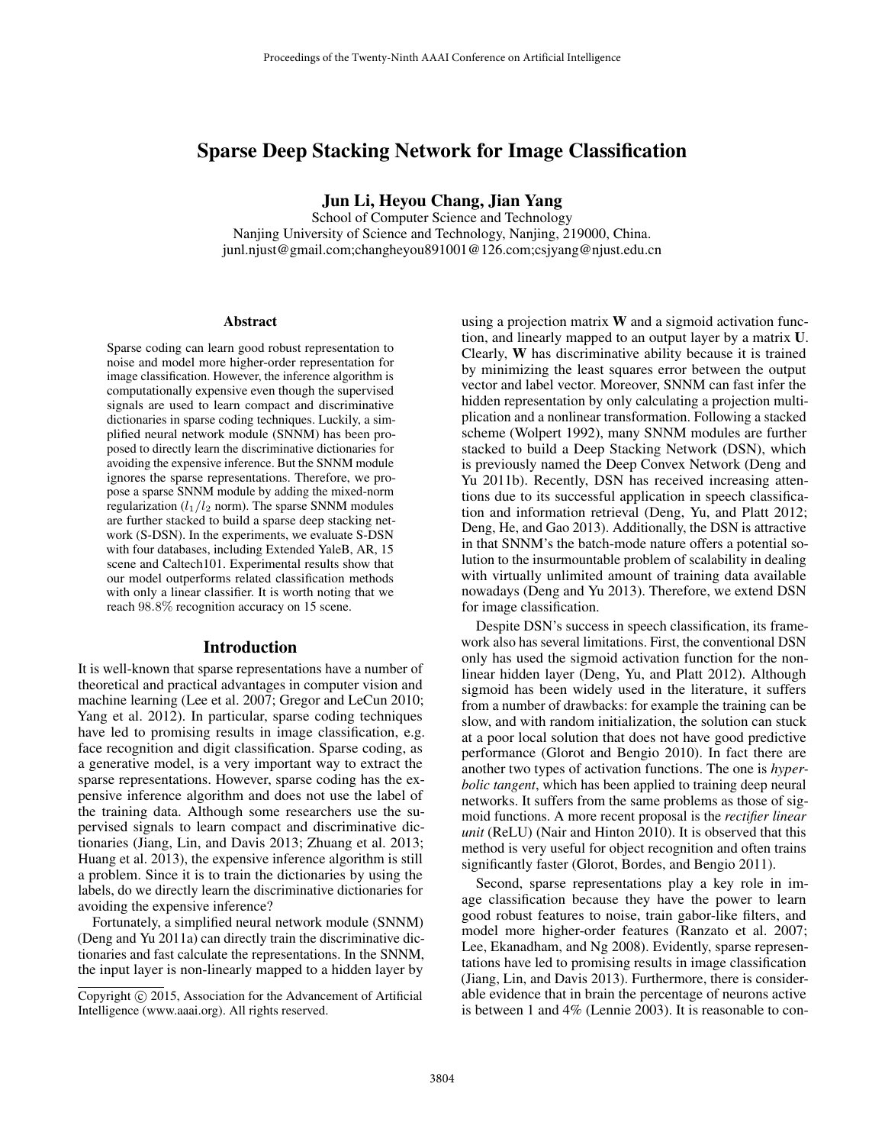# Sparse Deep Stacking Network for Image Classification

Jun Li, Heyou Chang, Jian Yang

School of Computer Science and Technology Nanjing University of Science and Technology, Nanjing, 219000, China. junl.njust@gmail.com;changheyou891001@126.com;csjyang@njust.edu.cn

#### **Abstract**

Sparse coding can learn good robust representation to noise and model more higher-order representation for image classification. However, the inference algorithm is computationally expensive even though the supervised signals are used to learn compact and discriminative dictionaries in sparse coding techniques. Luckily, a simplified neural network module (SNNM) has been proposed to directly learn the discriminative dictionaries for avoiding the expensive inference. But the SNNM module ignores the sparse representations. Therefore, we propose a sparse SNNM module by adding the mixed-norm regularization  $(l_1/l_2$  norm). The sparse SNNM modules are further stacked to build a sparse deep stacking network (S-DSN). In the experiments, we evaluate S-DSN with four databases, including Extended YaleB, AR, 15 scene and Caltech101. Experimental results show that our model outperforms related classification methods with only a linear classifier. It is worth noting that we reach 98.8% recognition accuracy on 15 scene.

### Introduction

It is well-known that sparse representations have a number of theoretical and practical advantages in computer vision and machine learning (Lee et al. 2007; Gregor and LeCun 2010; Yang et al. 2012). In particular, sparse coding techniques have led to promising results in image classification, e.g. face recognition and digit classification. Sparse coding, as a generative model, is a very important way to extract the sparse representations. However, sparse coding has the expensive inference algorithm and does not use the label of the training data. Although some researchers use the supervised signals to learn compact and discriminative dictionaries (Jiang, Lin, and Davis 2013; Zhuang et al. 2013; Huang et al. 2013), the expensive inference algorithm is still a problem. Since it is to train the dictionaries by using the labels, do we directly learn the discriminative dictionaries for avoiding the expensive inference?

Fortunately, a simplified neural network module (SNNM) (Deng and Yu 2011a) can directly train the discriminative dictionaries and fast calculate the representations. In the SNNM, the input layer is non-linearly mapped to a hidden layer by

using a projection matrix W and a sigmoid activation function, and linearly mapped to an output layer by a matrix U. Clearly, W has discriminative ability because it is trained by minimizing the least squares error between the output vector and label vector. Moreover, SNNM can fast infer the hidden representation by only calculating a projection multiplication and a nonlinear transformation. Following a stacked scheme (Wolpert 1992), many SNNM modules are further stacked to build a Deep Stacking Network (DSN), which is previously named the Deep Convex Network (Deng and Yu 2011b). Recently, DSN has received increasing attentions due to its successful application in speech classification and information retrieval (Deng, Yu, and Platt 2012; Deng, He, and Gao 2013). Additionally, the DSN is attractive in that SNNM's the batch-mode nature offers a potential solution to the insurmountable problem of scalability in dealing with virtually unlimited amount of training data available nowadays (Deng and Yu 2013). Therefore, we extend DSN for image classification.

Despite DSN's success in speech classification, its framework also has several limitations. First, the conventional DSN only has used the sigmoid activation function for the nonlinear hidden layer (Deng, Yu, and Platt 2012). Although sigmoid has been widely used in the literature, it suffers from a number of drawbacks: for example the training can be slow, and with random initialization, the solution can stuck at a poor local solution that does not have good predictive performance (Glorot and Bengio 2010). In fact there are another two types of activation functions. The one is *hyperbolic tangent*, which has been applied to training deep neural networks. It suffers from the same problems as those of sigmoid functions. A more recent proposal is the *rectifier linear unit* (ReLU) (Nair and Hinton 2010). It is observed that this method is very useful for object recognition and often trains significantly faster (Glorot, Bordes, and Bengio 2011).

Second, sparse representations play a key role in image classification because they have the power to learn good robust features to noise, train gabor-like filters, and model more higher-order features (Ranzato et al. 2007; Lee, Ekanadham, and Ng 2008). Evidently, sparse representations have led to promising results in image classification (Jiang, Lin, and Davis 2013). Furthermore, there is considerable evidence that in brain the percentage of neurons active is between 1 and 4% (Lennie 2003). It is reasonable to con-

Copyright © 2015, Association for the Advancement of Artificial Intelligence (www.aaai.org). All rights reserved.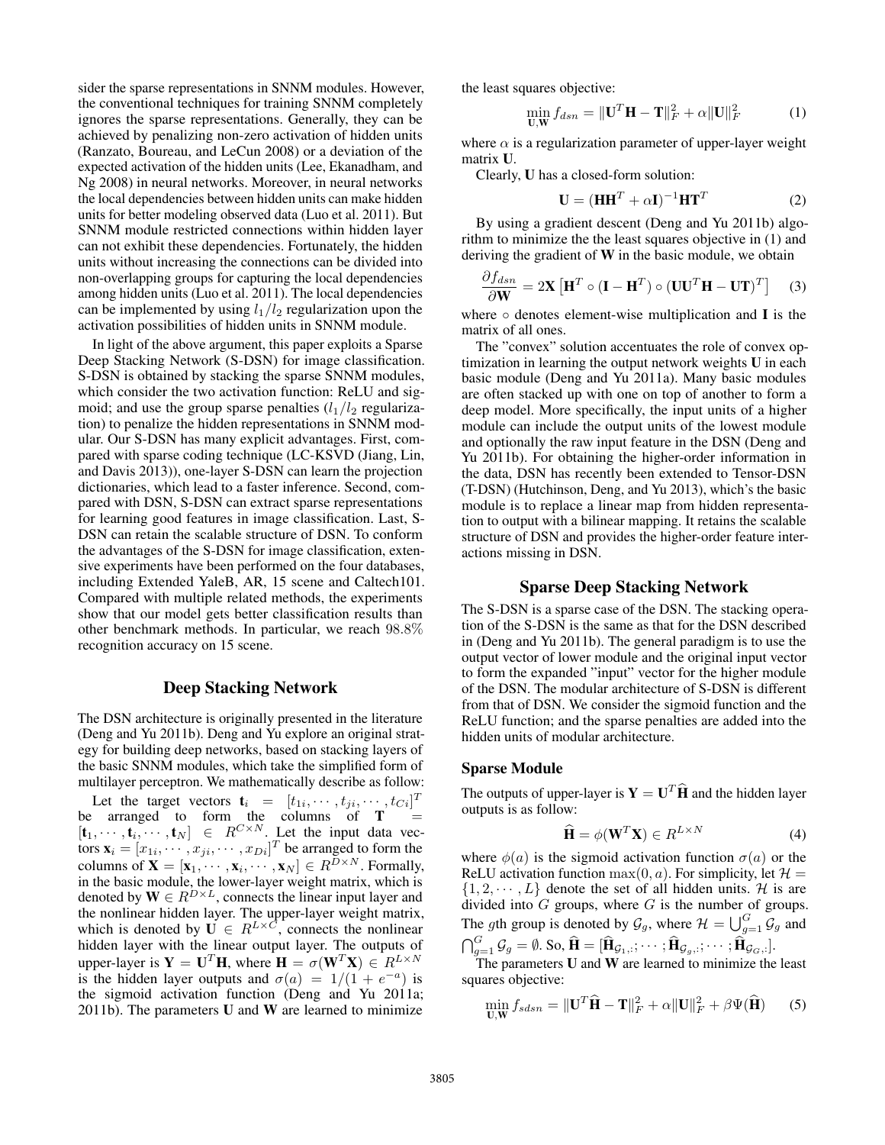sider the sparse representations in SNNM modules. However, the conventional techniques for training SNNM completely ignores the sparse representations. Generally, they can be achieved by penalizing non-zero activation of hidden units (Ranzato, Boureau, and LeCun 2008) or a deviation of the expected activation of the hidden units (Lee, Ekanadham, and Ng 2008) in neural networks. Moreover, in neural networks the local dependencies between hidden units can make hidden units for better modeling observed data (Luo et al. 2011). But SNNM module restricted connections within hidden layer can not exhibit these dependencies. Fortunately, the hidden units without increasing the connections can be divided into non-overlapping groups for capturing the local dependencies among hidden units (Luo et al. 2011). The local dependencies can be implemented by using  $l_1/l_2$  regularization upon the activation possibilities of hidden units in SNNM module.

In light of the above argument, this paper exploits a Sparse Deep Stacking Network (S-DSN) for image classification. S-DSN is obtained by stacking the sparse SNNM modules, which consider the two activation function: ReLU and sigmoid; and use the group sparse penalties  $(l_1/l_2)$  regularization) to penalize the hidden representations in SNNM modular. Our S-DSN has many explicit advantages. First, compared with sparse coding technique (LC-KSVD (Jiang, Lin, and Davis 2013)), one-layer S-DSN can learn the projection dictionaries, which lead to a faster inference. Second, compared with DSN, S-DSN can extract sparse representations for learning good features in image classification. Last, S-DSN can retain the scalable structure of DSN. To conform the advantages of the S-DSN for image classification, extensive experiments have been performed on the four databases, including Extended YaleB, AR, 15 scene and Caltech101. Compared with multiple related methods, the experiments show that our model gets better classification results than other benchmark methods. In particular, we reach 98.8% recognition accuracy on 15 scene.

## Deep Stacking Network

The DSN architecture is originally presented in the literature (Deng and Yu 2011b). Deng and Yu explore an original strategy for building deep networks, based on stacking layers of the basic SNNM modules, which take the simplified form of multilayer perceptron. We mathematically describe as follow:

Let the target vectors  $\mathbf{t}_i = [t_{1i}, \cdots, t_{ji}, \cdots, t_{Ci}]^T$ be arranged to form the columns of  $T =$  $[\mathbf{t}_1, \cdots, \mathbf{t}_i, \cdots, \mathbf{t}_N] \in R^{C \times N}$ . Let the input data vectors  $\mathbf{x}_i = [x_{1i}, \cdots, x_{ji}, \cdots, x_{Di}]^T$  be arranged to form the columns of  $\mathbf{X} = [\mathbf{x}_1, \cdots, \mathbf{x}_i, \cdots, \mathbf{x}_N] \in R^{D \times N}$ . Formally, in the basic module, the lower-layer weight matrix, which is denoted by  $\mathbf{W} \in R^{D \times L}$ , connects the linear input layer and the nonlinear hidden layer. The upper-layer weight matrix, which is denoted by  $\mathbf{U} \in R^{L \times C}$ , connects the nonlinear hidden layer with the linear output layer. The outputs of upper-layer is  $Y = U^T H$ , where  $H = \sigma(W^T X) \in R^{L \times N}$ is the hidden layer outputs and  $\sigma(a) = 1/(1 + e^{-a})$  is the sigmoid activation function (Deng and Yu 2011a; 2011b). The parameters  **and**  $**W**$  **are learned to minimize** 

the least squares objective:

$$
\min_{\mathbf{U}, \mathbf{W}} f_{dsn} = \|\mathbf{U}^T \mathbf{H} - \mathbf{T}\|_F^2 + \alpha \|\mathbf{U}\|_F^2 \tag{1}
$$

where  $\alpha$  is a regularization parameter of upper-layer weight matrix U.

Clearly, U has a closed-form solution:

$$
\mathbf{U} = (\mathbf{H}\mathbf{H}^T + \alpha \mathbf{I})^{-1} \mathbf{H}\mathbf{T}^T
$$
 (2)

By using a gradient descent (Deng and Yu 2011b) algorithm to minimize the the least squares objective in (1) and deriving the gradient of W in the basic module, we obtain

$$
\frac{\partial f_{dsn}}{\partial \mathbf{W}} = 2\mathbf{X} \left[ \mathbf{H}^T \circ (\mathbf{I} - \mathbf{H}^T) \circ (\mathbf{U}\mathbf{U}^T \mathbf{H} - \mathbf{U}\mathbf{T})^T \right] \tag{3}
$$

where  $\circ$  denotes element-wise multiplication and I is the matrix of all ones.

The "convex" solution accentuates the role of convex optimization in learning the output network weights U in each basic module (Deng and Yu 2011a). Many basic modules are often stacked up with one on top of another to form a deep model. More specifically, the input units of a higher module can include the output units of the lowest module and optionally the raw input feature in the DSN (Deng and Yu 2011b). For obtaining the higher-order information in the data, DSN has recently been extended to Tensor-DSN (T-DSN) (Hutchinson, Deng, and Yu 2013), which's the basic module is to replace a linear map from hidden representation to output with a bilinear mapping. It retains the scalable structure of DSN and provides the higher-order feature interactions missing in DSN.

## Sparse Deep Stacking Network

The S-DSN is a sparse case of the DSN. The stacking operation of the S-DSN is the same as that for the DSN described in (Deng and Yu 2011b). The general paradigm is to use the output vector of lower module and the original input vector to form the expanded "input" vector for the higher module of the DSN. The modular architecture of S-DSN is different from that of DSN. We consider the sigmoid function and the ReLU function; and the sparse penalties are added into the hidden units of modular architecture.

#### Sparse Module

The outputs of upper-layer is  $\mathbf{Y} = \mathbf{U}^T \hat{\mathbf{H}}$  and the hidden layer outputs is as follow:

$$
\widehat{\mathbf{H}} = \phi(\mathbf{W}^T \mathbf{X}) \in R^{L \times N}
$$
 (4)

where  $\phi(a)$  is the sigmoid activation function  $\sigma(a)$  or the ReLU activation function  $max(0, a)$ . For simplicity, let  $\mathcal{H} =$  $\{1, 2, \dots, L\}$  denote the set of all hidden units. H is are divided into  $G$  groups, where  $G$  is the number of groups. The gth group is denoted by  $\mathcal{G}_g$ , where  $\mathcal{H} = \bigcup_{g=1}^G \mathcal{G}_g$  and  $\bigcap_{g=1}^G \mathcal{G}_g = \emptyset$ . So,  $\widehat{\mathbf{H}} = [\widehat{\mathbf{H}}_{\mathcal{G}_1,:}; \cdots; \widehat{\mathbf{H}}_{\mathcal{G}_g,:}; \cdots; \widehat{\mathbf{H}}_{\mathcal{G}_G,:}].$ 

The parameters  **and**  $**W**$  **are learned to minimize the least** squares objective:

$$
\min_{\mathbf{U}, \mathbf{W}} f_{sdsn} = \|\mathbf{U}^T \hat{\mathbf{H}} - \mathbf{T}\|_F^2 + \alpha \|\mathbf{U}\|_F^2 + \beta \Psi(\hat{\mathbf{H}})
$$
 (5)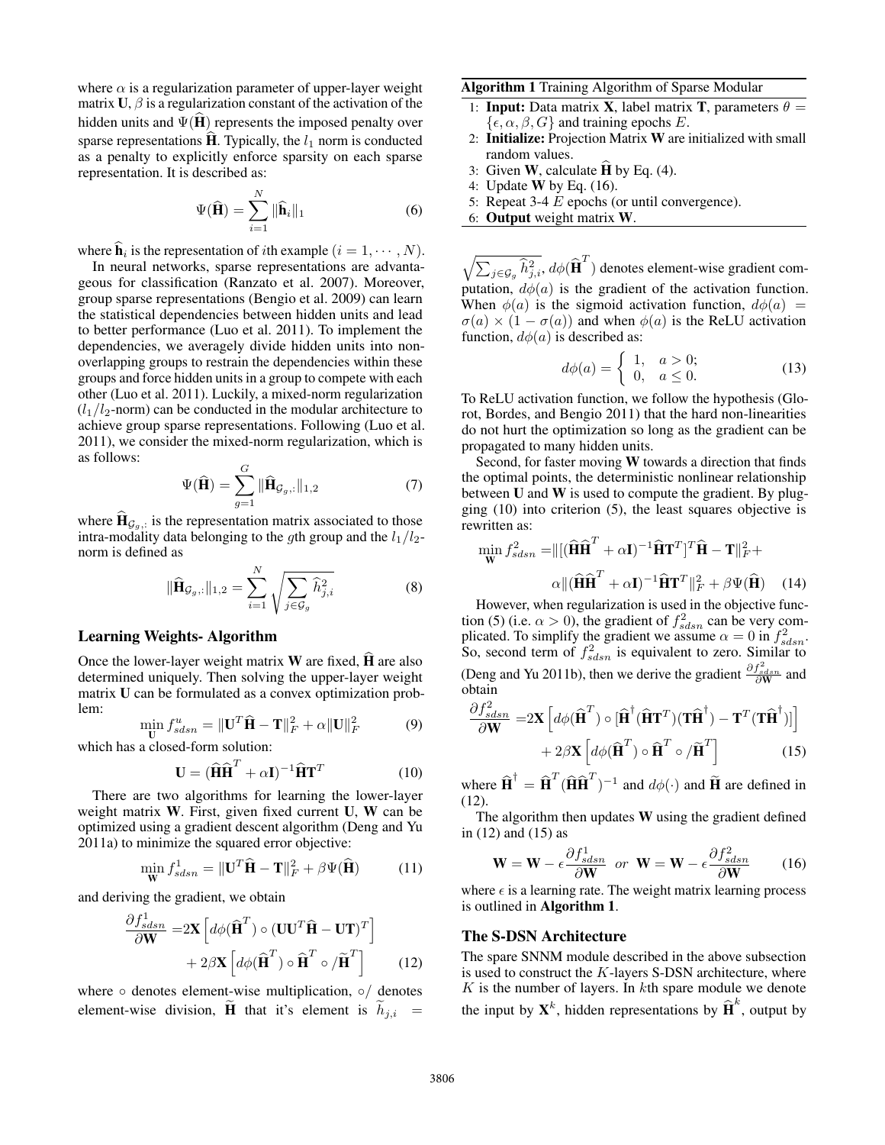where  $\alpha$  is a regularization parameter of upper-layer weight matrix  $U$ ,  $\beta$  is a regularization constant of the activation of the hidden units and  $\Psi(\mathbf{H})$  represents the imposed penalty over sparse representations  $\dot{H}$ . Typically, the  $l_1$  norm is conducted as a penalty to explicitly enforce sparsity on each sparse representation. It is described as:

$$
\Psi(\widehat{\mathbf{H}}) = \sum_{i=1}^{N} \|\widehat{\mathbf{h}}_i\|_1
$$
\n(6)

where  $\mathbf{h}_i$  is the representation of *i*th example  $(i = 1, \dots, N)$ .

In neural networks, sparse representations are advantageous for classification (Ranzato et al. 2007). Moreover, group sparse representations (Bengio et al. 2009) can learn the statistical dependencies between hidden units and lead to better performance (Luo et al. 2011). To implement the dependencies, we averagely divide hidden units into nonoverlapping groups to restrain the dependencies within these groups and force hidden units in a group to compete with each other (Luo et al. 2011). Luckily, a mixed-norm regularization  $(l_1/l_2$ -norm) can be conducted in the modular architecture to achieve group sparse representations. Following (Luo et al. 2011), we consider the mixed-norm regularization, which is as follows:

$$
\Psi(\widehat{\mathbf{H}}) = \sum_{g=1}^{G} \|\widehat{\mathbf{H}}_{\mathcal{G}_g,:}\|_{1,2}
$$
\n(7)

where  $\mathbf{H}_{\mathcal{G}_g}$ , is the representation matrix associated to those intra-modality data belonging to the gth group and the  $l_1/l_2$ norm is defined as

$$
\|\widehat{\mathbf{H}}_{\mathcal{G}_g,:}\|_{1,2} = \sum_{i=1}^N \sqrt{\sum_{j \in \mathcal{G}_g} \widehat{h}_{j,i}^2}
$$
(8)

### Learning Weights- Algorithm

Once the lower-layer weight matrix  $W$  are fixed,  $H$  are also determined uniquely. Then solving the upper-layer weight matrix U can be formulated as a convex optimization problem:

$$
\min_{\mathbf{U}} f_{sdsn}^u = \|\mathbf{U}^T \hat{\mathbf{H}} - \mathbf{T}\|_F^2 + \alpha \|\mathbf{U}\|_F^2 \tag{9}
$$

which has a closed-form solution:

$$
\mathbf{U} = (\widehat{\mathbf{H}}\widehat{\mathbf{H}}^T + \alpha \mathbf{I})^{-1} \widehat{\mathbf{H}} \mathbf{T}^T
$$
 (10)

There are two algorithms for learning the lower-layer weight matrix W. First, given fixed current U, W can be optimized using a gradient descent algorithm (Deng and Yu 2011a) to minimize the squared error objective:

$$
\min_{\mathbf{W}} f_{sdsn}^1 = \|\mathbf{U}^T \hat{\mathbf{H}} - \mathbf{T}\|_F^2 + \beta \Psi(\hat{\mathbf{H}})
$$
(11)

and deriving the gradient, we obtain

$$
\frac{\partial f_{sdsn}^1}{\partial \mathbf{W}} = 2\mathbf{X} \left[ d\phi(\hat{\mathbf{H}}^T) \circ (\mathbf{U}\mathbf{U}^T \hat{\mathbf{H}} - \mathbf{U}\mathbf{T})^T \right] + 2\beta \mathbf{X} \left[ d\phi(\hat{\mathbf{H}}^T) \circ \hat{\mathbf{H}}^T \circ / \tilde{\mathbf{H}}^T \right]
$$
(12)

where  $\circ$  denotes element-wise multiplication,  $\circ/$  denotes element-wise division,  $\tilde{H}$  that it's element is  $h_{j,i}$  =

### Algorithm 1 Training Algorithm of Sparse Modular

- 1: **Input:** Data matrix **X**, label matrix **T**, parameters  $\theta =$  $\{\epsilon, \alpha, \beta, G\}$  and training epochs E.
- 2: Initialize: Projection Matrix W are initialized with small random values.
- 3: Given  $W$ , calculate  $H$  by Eq. (4).
- 4: Update W by Eq. (16).
- 5: Repeat 3-4 E epochs (or until convergence).
- 6: Output weight matrix W.

 $\sqrt{\sum_{j \in \mathcal{G}_g} \widehat{h}_{j,i}^2}$ ,  $d\phi(\widehat{\textbf{H}}^T)$  denotes element-wise gradient computation,  $d\phi(a)$  is the gradient of the activation function. When  $\phi(a)$  is the sigmoid activation function,  $d\phi(a)$  =  $\sigma(a) \times (1 - \sigma(a))$  and when  $\phi(a)$  is the ReLU activation function,  $d\phi(a)$  is described as:

$$
d\phi(a) = \begin{cases} 1, & a > 0; \\ 0, & a \le 0. \end{cases}
$$
 (13)

To ReLU activation function, we follow the hypothesis (Glorot, Bordes, and Bengio 2011) that the hard non-linearities do not hurt the optimization so long as the gradient can be propagated to many hidden units.

Second, for faster moving W towards a direction that finds the optimal points, the deterministic nonlinear relationship between U and W is used to compute the gradient. By plugging (10) into criterion (5), the least squares objective is rewritten as:

$$
\min_{\mathbf{W}} f_{sdsn}^2 = ||[ (\widehat{\mathbf{H}} \widehat{\mathbf{H}}^T + \alpha \mathbf{I})^{-1} \widehat{\mathbf{H}} \mathbf{T}^T ]^T \widehat{\mathbf{H}} - \mathbf{T} ||_F^2 +
$$

$$
\alpha || (\widehat{\mathbf{H}} \widehat{\mathbf{H}}^T + \alpha \mathbf{I})^{-1} \widehat{\mathbf{H}} \mathbf{T}^T ||_F^2 + \beta \Psi(\widehat{\mathbf{H}}) \quad (14)
$$

However, when regularization is used in the objective function (5) (i.e.  $\alpha > 0$ ), the gradient of  $f_{sdsn}^2$  can be very complicated. To simplify the gradient we assume  $\alpha = 0$  in  $f_{sdsn}^2$ . So, second term of  $f_{sdsn}^2$  is equivalent to zero. Similar to (Deng and Yu 2011b), then we derive the gradient  $\frac{\partial f_{sdsm}^2}{\partial \mathbf{W}}$  and obtain

$$
\frac{\partial f_{sdsn}^2}{\partial \mathbf{W}} = 2\mathbf{X} \left[ d\phi (\hat{\mathbf{H}}^T) \circ [\hat{\mathbf{H}}^\dagger (\hat{\mathbf{H}} \mathbf{T}^T) (\mathbf{T} \hat{\mathbf{H}}^\dagger) - \mathbf{T}^T (\mathbf{T} \hat{\mathbf{H}}^\dagger)] \right] + 2\beta \mathbf{X} \left[ d\phi (\hat{\mathbf{H}}^T) \circ \hat{\mathbf{H}}^T \circ / \tilde{\mathbf{H}}^T \right]
$$
(15)

where  $\hat{\mathbf{H}}^{\dagger} = \hat{\mathbf{H}}^T (\hat{\mathbf{H}} \hat{\mathbf{H}}^T)^{-1}$  and  $d\phi(\cdot)$  and  $\tilde{\mathbf{H}}$  are defined in (12).

The algorithm then updates  $W$  using the gradient defined in (12) and (15) as

$$
\mathbf{W} = \mathbf{W} - \epsilon \frac{\partial f_{sdsn}^1}{\partial \mathbf{W}} \quad or \quad \mathbf{W} = \mathbf{W} - \epsilon \frac{\partial f_{sdsn}^2}{\partial \mathbf{W}} \tag{16}
$$

where  $\epsilon$  is a learning rate. The weight matrix learning process is outlined in Algorithm 1.

#### The S-DSN Architecture

The spare SNNM module described in the above subsection is used to construct the  $K$ -layers S-DSN architecture, where  $K$  is the number of layers. In  $k$ th spare module we denote the input by  $\mathbf{X}^k$ , hidden representations by  $\widehat{\mathbf{H}}^k$ , output by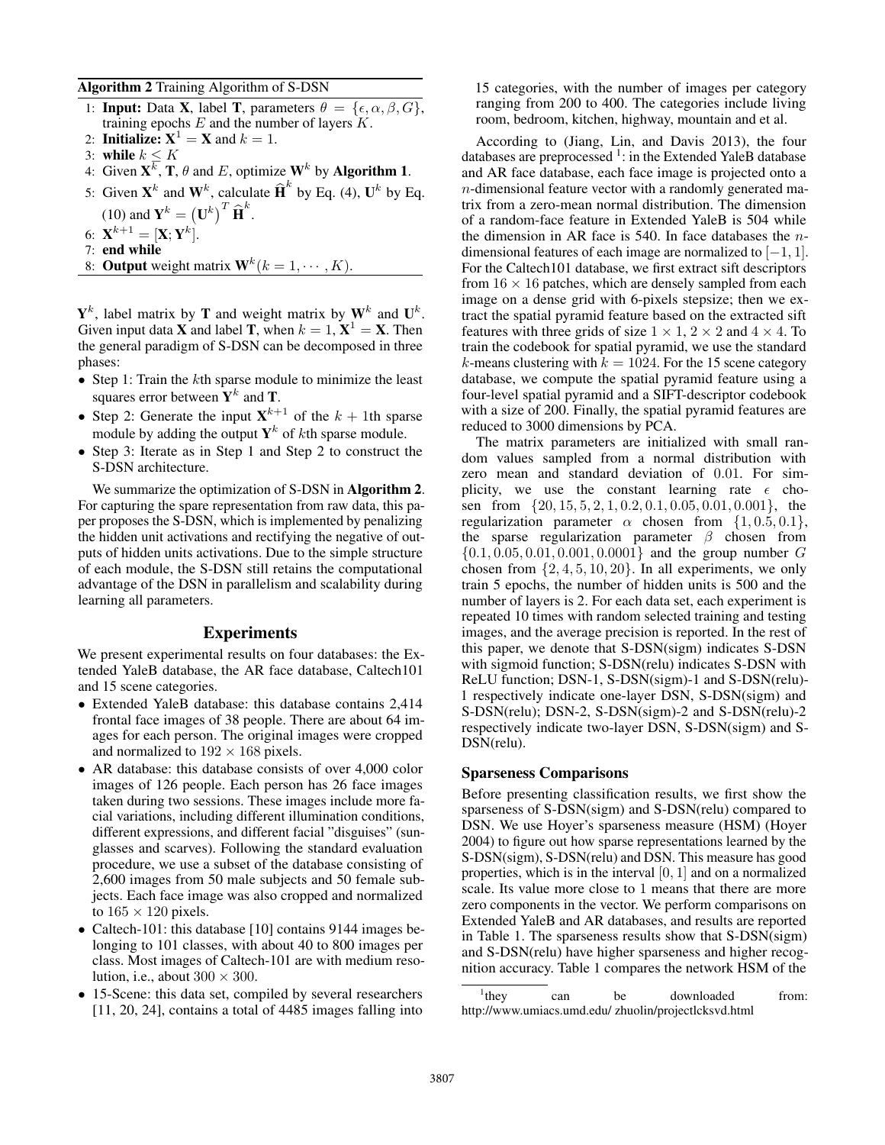### Algorithm 2 Training Algorithm of S-DSN

- 1: **Input:** Data **X**, label **T**, parameters  $\theta = {\epsilon, \alpha, \beta, G}$ , training epochs  $E$  and the number of layers  $K$ .
- 2: **Initialize:**  $X^1 = X$  and  $k = 1$ .
- 3: while  $k \leq K$
- 4: Given  $X^{\overline{k}}$ , **T**,  $\theta$  and *E*, optimize **W**<sup>k</sup> by **Algorithm 1**.
- 5: Given  $\mathbf{X}^k$  and  $\mathbf{W}^k$ , calculate  $\widehat{\mathbf{H}}^k$  by Eq. (4),  $\mathbf{U}^k$  by Eq. (10) and  $\mathbf{Y}^k = (\mathbf{U}^k)^T \widehat{\mathbf{H}}^k$ .
- 6:  $\mathbf{X}^{k+1} = [\mathbf{X};\mathbf{Y}^k].$
- 7: end while
- 8: **Output** weight matrix  $\mathbf{W}^k (k = 1, \dots, K)$ .

 $Y^k$ , label matrix by T and weight matrix by  $W^k$  and  $U^k$ . Given input data **X** and label **T**, when  $k = 1$ ,  $\mathbf{X}^1 = \mathbf{X}$ . Then the general paradigm of S-DSN can be decomposed in three phases:

- Step 1: Train the  $k$ th sparse module to minimize the least squares error between  $Y^k$  and T.
- Step 2: Generate the input  $X^{k+1}$  of the  $k + 1$ th sparse module by adding the output  $Y^k$  of *k*th sparse module.
- Step 3: Iterate as in Step 1 and Step 2 to construct the S-DSN architecture.

We summarize the optimization of S-DSN in Algorithm 2. For capturing the spare representation from raw data, this paper proposes the S-DSN, which is implemented by penalizing the hidden unit activations and rectifying the negative of outputs of hidden units activations. Due to the simple structure of each module, the S-DSN still retains the computational advantage of the DSN in parallelism and scalability during learning all parameters.

### Experiments

We present experimental results on four databases: the Extended YaleB database, the AR face database, Caltech101 and 15 scene categories.

- Extended YaleB database: this database contains 2,414 frontal face images of 38 people. There are about 64 images for each person. The original images were cropped and normalized to  $192 \times 168$  pixels.
- AR database: this database consists of over 4,000 color images of 126 people. Each person has 26 face images taken during two sessions. These images include more facial variations, including different illumination conditions, different expressions, and different facial "disguises" (sunglasses and scarves). Following the standard evaluation procedure, we use a subset of the database consisting of 2,600 images from 50 male subjects and 50 female subjects. Each face image was also cropped and normalized to  $165 \times 120$  pixels.
- Caltech-101: this database [10] contains 9144 images belonging to 101 classes, with about 40 to 800 images per class. Most images of Caltech-101 are with medium resolution, i.e., about  $300 \times 300$ .
- 15-Scene: this data set, compiled by several researchers [11, 20, 24], contains a total of 4485 images falling into

15 categories, with the number of images per category ranging from 200 to 400. The categories include living room, bedroom, kitchen, highway, mountain and et al.

According to (Jiang, Lin, and Davis 2013), the four databases are preprocessed<sup>1</sup>: in the Extended YaleB database and AR face database, each face image is projected onto a n-dimensional feature vector with a randomly generated matrix from a zero-mean normal distribution. The dimension of a random-face feature in Extended YaleB is 504 while the dimension in AR face is 540. In face databases the  $n$ dimensional features of each image are normalized to  $[-1, 1]$ . For the Caltech101 database, we first extract sift descriptors from  $16 \times 16$  patches, which are densely sampled from each image on a dense grid with 6-pixels stepsize; then we extract the spatial pyramid feature based on the extracted sift features with three grids of size  $1 \times 1$ ,  $2 \times 2$  and  $4 \times 4$ . To train the codebook for spatial pyramid, we use the standard k-means clustering with  $k = 1024$ . For the 15 scene category database, we compute the spatial pyramid feature using a four-level spatial pyramid and a SIFT-descriptor codebook with a size of 200. Finally, the spatial pyramid features are reduced to 3000 dimensions by PCA.

The matrix parameters are initialized with small random values sampled from a normal distribution with zero mean and standard deviation of 0.01. For simplicity, we use the constant learning rate  $\epsilon$  chosen from {20, 15, 5, 2, 1, 0.2, 0.1, 0.05, 0.01, 0.001}, the regularization parameter  $\alpha$  chosen from  $\{1, 0.5, 0.1\}$ , the sparse regularization parameter  $\beta$  chosen from  $\{0.1, 0.05, 0.01, 0.001, 0.0001\}$  and the group number G chosen from  $\{2, 4, 5, 10, 20\}$ . In all experiments, we only train 5 epochs, the number of hidden units is 500 and the number of layers is 2. For each data set, each experiment is repeated 10 times with random selected training and testing images, and the average precision is reported. In the rest of this paper, we denote that S-DSN(sigm) indicates S-DSN with sigmoid function; S-DSN(relu) indicates S-DSN with ReLU function; DSN-1, S-DSN(sigm)-1 and S-DSN(relu)- 1 respectively indicate one-layer DSN, S-DSN(sigm) and S-DSN(relu); DSN-2, S-DSN(sigm)-2 and S-DSN(relu)-2 respectively indicate two-layer DSN, S-DSN(sigm) and S-DSN(relu).

## Sparseness Comparisons

Before presenting classification results, we first show the sparseness of S-DSN(sigm) and S-DSN(relu) compared to DSN. We use Hoyer's sparseness measure (HSM) (Hoyer 2004) to figure out how sparse representations learned by the S-DSN(sigm), S-DSN(relu) and DSN. This measure has good properties, which is in the interval  $[0, 1]$  and on a normalized scale. Its value more close to 1 means that there are more zero components in the vector. We perform comparisons on Extended YaleB and AR databases, and results are reported in Table 1. The sparseness results show that S-DSN(sigm) and S-DSN(relu) have higher sparseness and higher recognition accuracy. Table 1 compares the network HSM of the

 $\frac{1}{1}$ thev can be downloaded from: http://www.umiacs.umd.edu/ zhuolin/projectlcksvd.html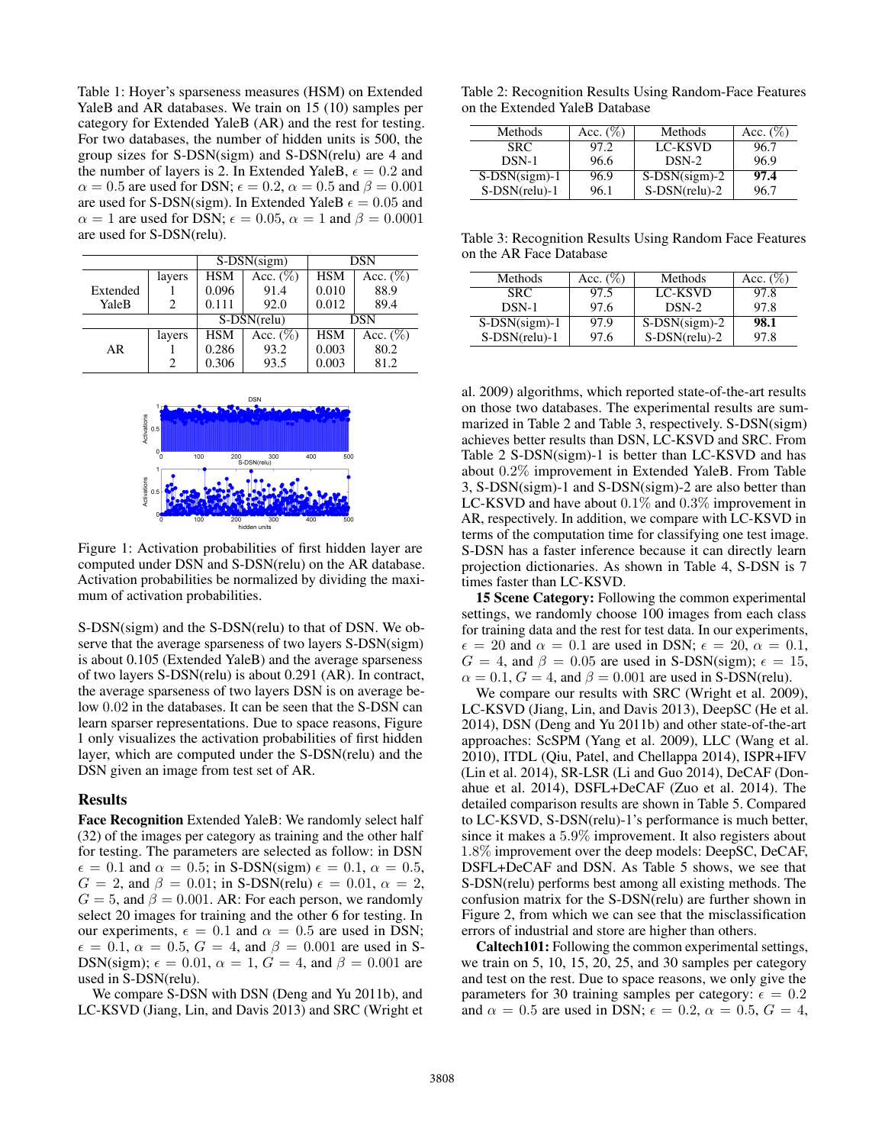Table 1: Hoyer's sparseness measures (HSM) on Extended YaleB and AR databases. We train on 15 (10) samples per category for Extended YaleB (AR) and the rest for testing. For two databases, the number of hidden units is 500, the group sizes for S-DSN(sigm) and S-DSN(relu) are 4 and the number of layers is 2. In Extended YaleB,  $\epsilon = 0.2$  and  $\alpha = 0.5$  are used for DSN;  $\epsilon = 0.2$ ,  $\alpha = 0.5$  and  $\beta = 0.001$ are used for S-DSN(sigm). In Extended YaleB  $\epsilon = 0.05$  and  $\alpha = 1$  are used for DSN;  $\epsilon = 0.05$ ,  $\alpha = 1$  and  $\beta = 0.0001$ are used for S-DSN(relu).

|          |        | $S-DSN(sigm)$ |             | DSN        |             |  |
|----------|--------|---------------|-------------|------------|-------------|--|
|          | layers | <b>HSM</b>    | Acc. $(\%)$ | <b>HSM</b> | Acc. $(\%)$ |  |
| Extended |        | 0.096         | 91.4        | 0.010      | 88.9        |  |
| YaleB    | 2      | 0.111         | 92.0        | 0.012      | 89.4        |  |
|          |        | S-DSN(relu)   |             | DSN        |             |  |
|          | layers | <b>HSM</b>    | Acc. $(\%)$ | <b>HSM</b> | Acc. $(\%)$ |  |
| AR       |        | 0.286         | 93.2        | 0.003      | 80.2        |  |
|          | 2      | 0.306         | 93.5        | 0.003      | 81.2        |  |



Figure 1: Activation probabilities of first hidden layer are computed under DSN and S-DSN(relu) on the AR database. Activation probabilities be normalized by dividing the maximum of activation probabilities.

S-DSN(sigm) and the S-DSN(relu) to that of DSN. We observe that the average sparseness of two layers S-DSN(sigm) is about 0.105 (Extended YaleB) and the average sparseness of two layers S-DSN(relu) is about 0.291 (AR). In contract, the average sparseness of two layers DSN is on average below 0.02 in the databases. It can be seen that the S-DSN can learn sparser representations. Due to space reasons, Figure 1 only visualizes the activation probabilities of first hidden layer, which are computed under the S-DSN(relu) and the DSN given an image from test set of AR.

### Results

Face Recognition Extended YaleB: We randomly select half (32) of the images per category as training and the other half for testing. The parameters are selected as follow: in DSN  $\epsilon = 0.1$  and  $\alpha = 0.5$ ; in S-DSN(sigm)  $\epsilon = 0.1$ ,  $\alpha = 0.5$ ,  $G = 2$ , and  $\beta = 0.01$ ; in S-DSN(relu)  $\epsilon = 0.01$ ,  $\alpha = 2$ ,  $G = 5$ , and  $\beta = 0.001$ . AR: For each person, we randomly select 20 images for training and the other 6 for testing. In our experiments,  $\epsilon = 0.1$  and  $\alpha = 0.5$  are used in DSN;  $\epsilon = 0.1, \alpha = 0.5, G = 4, \text{ and } \beta = 0.001 \text{ are used in S-}$ DSN(sigm);  $\epsilon = 0.01$ ,  $\alpha = 1$ ,  $G = 4$ , and  $\beta = 0.001$  are used in S-DSN(relu).

We compare S-DSN with DSN (Deng and Yu 2011b), and LC-KSVD (Jiang, Lin, and Davis 2013) and SRC (Wright et

Table 2: Recognition Results Using Random-Face Features on the Extended YaleB Database

| Methods          | Acc. $(\%)$ | Methods          | Acc. $(\%)$ |
|------------------|-------------|------------------|-------------|
| SRC.             | 97.2        | LC-KSVD          | 96.7        |
| $DSN-1$          | 96.6        | $DSN-2$          | 96.9        |
| $S-DSN(sigm)-1$  | 96.9        | $S-DSN(sigm)-2$  | 97.4        |
| $S-DSN$ (relu)-1 | 96.1        | $S-DSN$ (relu)-2 | 96.7        |

Table 3: Recognition Results Using Random Face Features on the AR Face Database

| Methods         | Acc. $(\%)$ | Methods         | Acc. $(\%)$ |
|-----------------|-------------|-----------------|-------------|
| SRC.            | 97.5        | LC-KSVD         | 97.8        |
| DSN-1           | 97.6        | DSN-2           | 97.8        |
| $S-DSN(sigm)-1$ | 97.9        | $S-DSN(sigm)-2$ | 98.1        |
| S-DSN(relu)-1   | 97.6        | S-DSN(relu)-2   | 97.8        |

al. 2009) algorithms, which reported state-of-the-art results on those two databases. The experimental results are summarized in Table 2 and Table 3, respectively. S-DSN(sigm) achieves better results than DSN, LC-KSVD and SRC. From Table 2 S-DSN(sigm)-1 is better than LC-KSVD and has about 0.2% improvement in Extended YaleB. From Table 3, S-DSN(sigm)-1 and S-DSN(sigm)-2 are also better than LC-KSVD and have about 0.1% and 0.3% improvement in AR, respectively. In addition, we compare with LC-KSVD in terms of the computation time for classifying one test image. S-DSN has a faster inference because it can directly learn projection dictionaries. As shown in Table 4, S-DSN is 7 times faster than LC-KSVD.

15 Scene Category: Following the common experimental settings, we randomly choose 100 images from each class for training data and the rest for test data. In our experiments,  $\epsilon = 20$  and  $\alpha = 0.1$  are used in DSN;  $\epsilon = 20$ ,  $\alpha = 0.1$ ,  $G = 4$ , and  $\beta = 0.05$  are used in S-DSN(sigm);  $\epsilon = 15$ ,  $\alpha = 0.1, G = 4$ , and  $\beta = 0.001$  are used in S-DSN(relu).

We compare our results with SRC (Wright et al. 2009), LC-KSVD (Jiang, Lin, and Davis 2013), DeepSC (He et al. 2014), DSN (Deng and Yu 2011b) and other state-of-the-art approaches: ScSPM (Yang et al. 2009), LLC (Wang et al. 2010), ITDL (Qiu, Patel, and Chellappa 2014), ISPR+IFV (Lin et al. 2014), SR-LSR (Li and Guo 2014), DeCAF (Donahue et al. 2014), DSFL+DeCAF (Zuo et al. 2014). The detailed comparison results are shown in Table 5. Compared to LC-KSVD, S-DSN(relu)-1's performance is much better, since it makes a 5.9% improvement. It also registers about 1.8% improvement over the deep models: DeepSC, DeCAF, DSFL+DeCAF and DSN. As Table 5 shows, we see that S-DSN(relu) performs best among all existing methods. The confusion matrix for the S-DSN(relu) are further shown in Figure 2, from which we can see that the misclassification errors of industrial and store are higher than others.

Caltech101: Following the common experimental settings, we train on 5, 10, 15, 20, 25, and 30 samples per category and test on the rest. Due to space reasons, we only give the parameters for 30 training samples per category:  $\epsilon = 0.2$ and  $\alpha = 0.5$  are used in DSN;  $\epsilon = 0.2$ ,  $\alpha = 0.5$ ,  $G = 4$ ,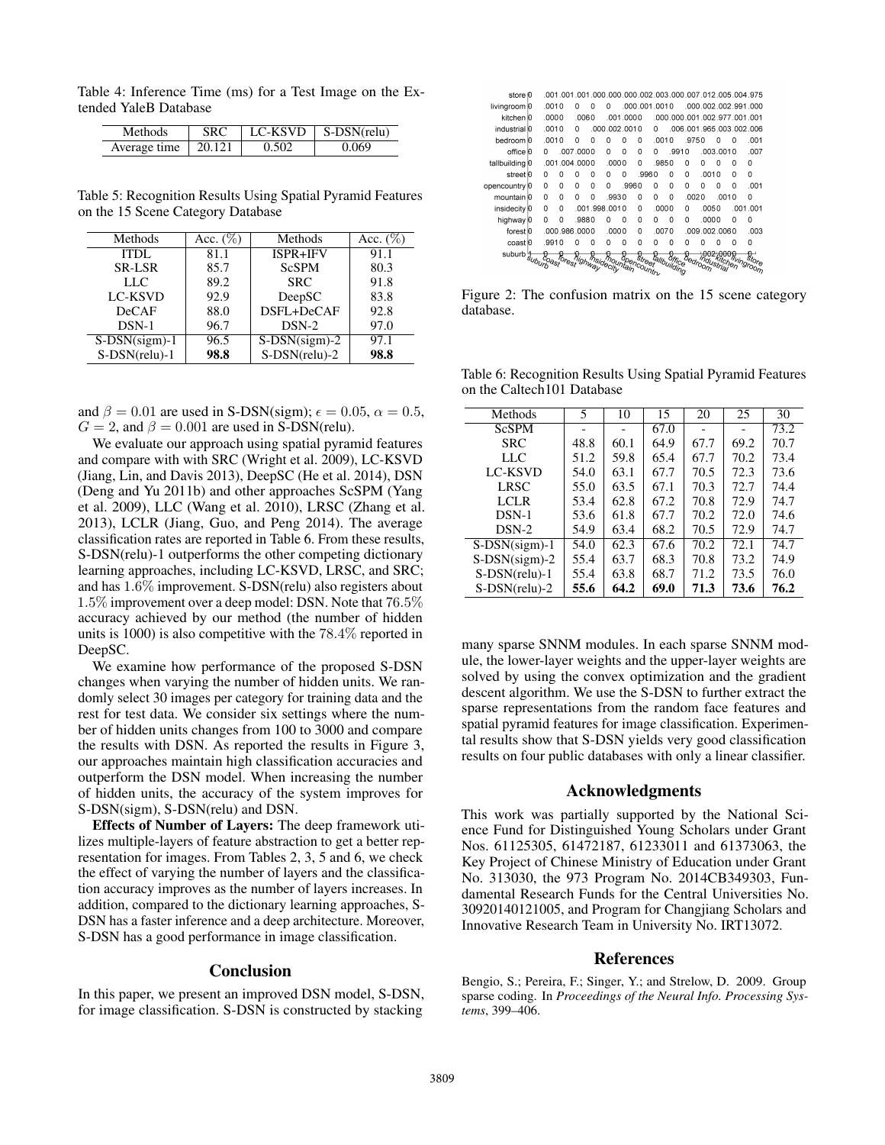Table 4: Inference Time (ms) for a Test Image on the Extended YaleB Database

| Methods                           | SRC. | ∣ LC-KSVD | $\mid$ S-DSN(relu) |
|-----------------------------------|------|-----------|--------------------|
| Average time $\vert 20.121 \vert$ |      | 0.502     | 0.069              |

Table 5: Recognition Results Using Spatial Pyramid Features on the 15 Scene Category Database

| Methods         | Acc. $(\%)$ | Methods          | Acc. $(\%)$ |
|-----------------|-------------|------------------|-------------|
| <b>ITDL</b>     | 81.1        | ISPR+IFV         | 91.1        |
| <b>SR-LSR</b>   | 85.7        | <b>ScSPM</b>     | 80.3        |
| LLC             | 89.2        | <b>SRC</b>       | 91.8        |
| <b>LC-KSVD</b>  | 92.9        | DeepSC           | 83.8        |
| <b>DeCAF</b>    | 88.0        | DSFL+DeCAF       | 92.8        |
| $DSN-1$         | 96.7        | $DSN-2$          | 97.0        |
| $S-DSN(sigm)-1$ | 96.5        | $S-DSN(sigm)-2$  | 97.1        |
| S-DSN(relu)-1   | 98.8        | $S-DSN$ (relu)-2 | 98.8        |

and  $\beta = 0.01$  are used in S-DSN(sigm);  $\epsilon = 0.05$ ,  $\alpha = 0.5$ ,  $G = 2$ , and  $\beta = 0.001$  are used in S-DSN(relu).

We evaluate our approach using spatial pyramid features and compare with with SRC (Wright et al. 2009), LC-KSVD (Jiang, Lin, and Davis 2013), DeepSC (He et al. 2014), DSN (Deng and Yu 2011b) and other approaches ScSPM (Yang et al. 2009), LLC (Wang et al. 2010), LRSC (Zhang et al. 2013), LCLR (Jiang, Guo, and Peng 2014). The average classification rates are reported in Table 6. From these results, S-DSN(relu)-1 outperforms the other competing dictionary learning approaches, including LC-KSVD, LRSC, and SRC; and has 1.6% improvement. S-DSN(relu) also registers about 1.5% improvement over a deep model: DSN. Note that 76.5% accuracy achieved by our method (the number of hidden units is 1000) is also competitive with the 78.4% reported in DeepSC.

We examine how performance of the proposed S-DSN changes when varying the number of hidden units. We randomly select 30 images per category for training data and the rest for test data. We consider six settings where the number of hidden units changes from 100 to 3000 and compare the results with DSN. As reported the results in Figure 3, our approaches maintain high classification accuracies and outperform the DSN model. When increasing the number of hidden units, the accuracy of the system improves for S-DSN(sigm), S-DSN(relu) and DSN.

Effects of Number of Layers: The deep framework utilizes multiple-layers of feature abstraction to get a better representation for images. From Tables 2, 3, 5 and 6, we check the effect of varying the number of layers and the classification accuracy improves as the number of layers increases. In addition, compared to the dictionary learning approaches, S-DSN has a faster inference and a deep architecture. Moreover, S-DSN has a good performance in image classification.

#### **Conclusion**

In this paper, we present an improved DSN model, S-DSN, for image classification. S-DSN is constructed by stacking



Figure 2: The confusion matrix on the 15 scene category database.

Table 6: Recognition Results Using Spatial Pyramid Features on the Caltech101 Database

| Methods          | 5    | 10   | 15   | 20   | 25   | 30   |
|------------------|------|------|------|------|------|------|
| <b>ScSPM</b>     |      |      | 67.0 |      |      | 73.2 |
| <b>SRC</b>       | 48.8 | 60.1 | 64.9 | 67.7 | 69.2 | 70.7 |
| LLC              | 51.2 | 59.8 | 65.4 | 67.7 | 70.2 | 73.4 |
| LC-KSVD          | 54.0 | 63.1 | 67.7 | 70.5 | 72.3 | 73.6 |
| <b>LRSC</b>      | 55.0 | 63.5 | 67.1 | 70.3 | 72.7 | 74.4 |
| <b>LCLR</b>      | 53.4 | 62.8 | 67.2 | 70.8 | 72.9 | 74.7 |
| $DSN-1$          | 53.6 | 61.8 | 67.7 | 70.2 | 72.0 | 74.6 |
| $DSN-2$          | 54.9 | 63.4 | 68.2 | 70.5 | 72.9 | 74.7 |
| $S-DSN(sigm)-1$  | 54.0 | 62.3 | 67.6 | 70.2 | 72.1 | 74.7 |
| $S-DSN(sigm)-2$  | 55.4 | 63.7 | 68.3 | 70.8 | 73.2 | 74.9 |
| $S-DSN$ (relu)-1 | 55.4 | 63.8 | 68.7 | 71.2 | 73.5 | 76.0 |
| $S-DSN$ (relu)-2 | 55.6 | 64.2 | 69.0 | 71.3 | 73.6 | 76.2 |

many sparse SNNM modules. In each sparse SNNM module, the lower-layer weights and the upper-layer weights are solved by using the convex optimization and the gradient descent algorithm. We use the S-DSN to further extract the sparse representations from the random face features and spatial pyramid features for image classification. Experimental results show that S-DSN yields very good classification results on four public databases with only a linear classifier.

#### Acknowledgments

This work was partially supported by the National Science Fund for Distinguished Young Scholars under Grant Nos. 61125305, 61472187, 61233011 and 61373063, the Key Project of Chinese Ministry of Education under Grant No. 313030, the 973 Program No. 2014CB349303, Fundamental Research Funds for the Central Universities No. 30920140121005, and Program for Changjiang Scholars and Innovative Research Team in University No. IRT13072.

## References

Bengio, S.; Pereira, F.; Singer, Y.; and Strelow, D. 2009. Group sparse coding. In *Proceedings of the Neural Info. Processing Systems*, 399–406.